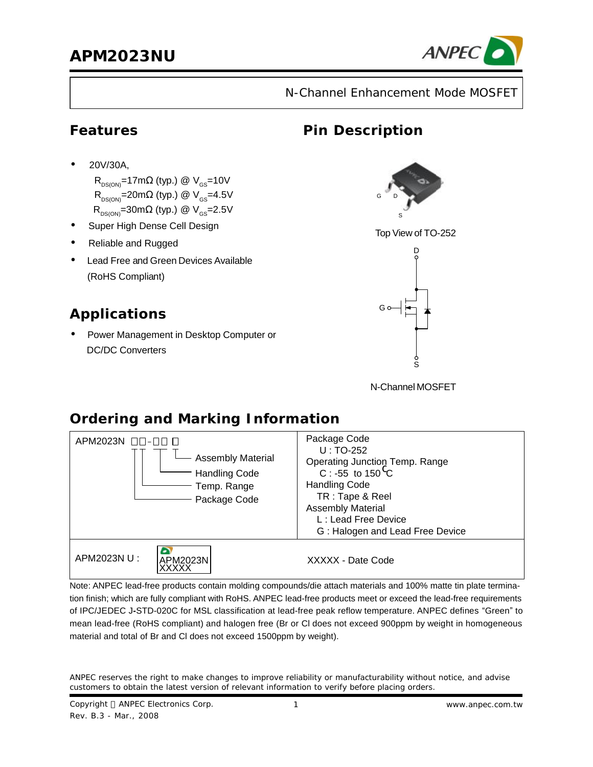

N-Channel Enhancement Mode MOSFET

**Pin Description**

#### **Features**

•20V/30A,

 $R_{DS(ON)}$ =17m $\Omega$  (typ.) @  $V_{GS}$ =10V  $R_{DS(ON)}$ =20m $\Omega$  (typ.) @  $V_{GS}$ =4.5V  $R_{DS(ON)}=30m\Omega$  (typ.) @  $V_{GS}=2.5V$ 

- **·** Super High Dense Cell Design
- **·** Reliable and Rugged
- **·** Lead Free and Green Devices Available (RoHS Compliant)

# **Applications**

• Power Management in Desktop Computer or DC/DC Converters



Top View of TO-252



N-Channel MOSFET

# **Ordering and Marking Information**

| APM2023N $\Box$ -00<br>Assembly Material<br><b>Handling Code</b><br>Temp. Range<br>Package Code | Package Code<br>$U:TO-252$<br>Operating Junction Temp. Range<br>C : -55 to 150 <sup>0</sup> C<br><b>Handling Code</b><br>TR: Tape & Reel<br><b>Assembly Material</b><br>L: Lead Free Device<br>G: Halogen and Lead Free Device |
|-------------------------------------------------------------------------------------------------|--------------------------------------------------------------------------------------------------------------------------------------------------------------------------------------------------------------------------------|
| APM2023N U :<br>APM2023N                                                                        | XXXXX - Date Code                                                                                                                                                                                                              |

Note: ANPEC lead-free products contain molding compounds/die attach materials and 100% matte tin plate termination finish; which are fully compliant with RoHS. ANPEC lead-free products meet or exceed the lead-free requirements of IPC/JEDEC J**-**STD-020C for MSL classification at lead-free peak reflow temperature. ANPEC defines "Green" to mean lead-free (RoHS compliant) and halogen free (Br or Cl does not exceed 900ppm by weight in homogeneous material and total of Br and Cl does not exceed 1500ppm by weight).

ANPEC reserves the right to make changes to improve reliability or manufacturability without notice, and advise customers to obtain the latest version of relevant information to verify before placing orders.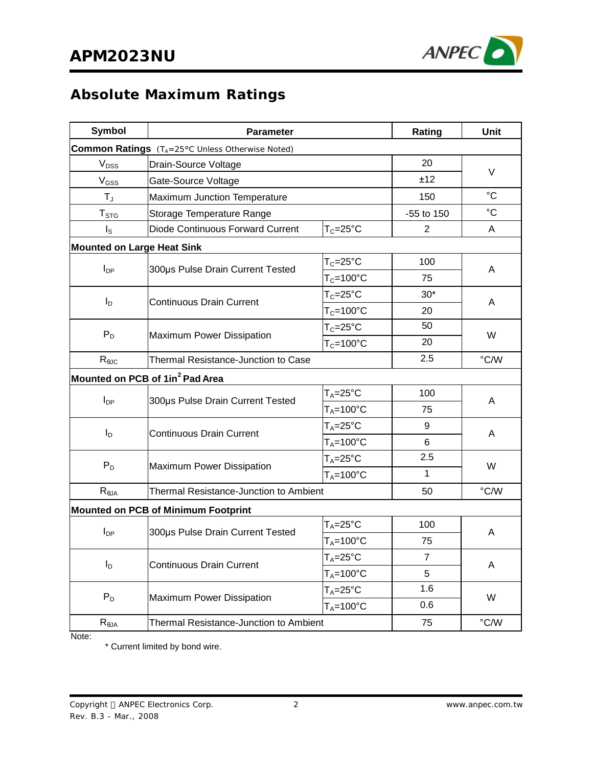

# **Absolute Maximum Ratings**

| <b>Symbol</b>                     | <b>Parameter</b>                                | Rating                                 | Unit           |             |  |
|-----------------------------------|-------------------------------------------------|----------------------------------------|----------------|-------------|--|
|                                   | Common Ratings (TA=25°C Unless Otherwise Noted) |                                        |                |             |  |
| V <sub>DSS</sub>                  | Drain-Source Voltage                            | 20                                     | V              |             |  |
| $V_{GSS}$                         | Gate-Source Voltage                             |                                        | ±12            |             |  |
| $T_{J}$                           | Maximum Junction Temperature                    |                                        | 150            | $^{\circ}C$ |  |
| T <sub>STG</sub>                  | Storage Temperature Range                       | -55 to 150                             | $^{\circ}C$    |             |  |
| $I_{\rm S}$                       | Diode Continuous Forward Current                | $T_c = 25$ °C                          | $\overline{2}$ | A           |  |
| <b>Mounted on Large Heat Sink</b> |                                                 |                                        |                |             |  |
| $I_{DP}$                          |                                                 | $T_C = 25$ °C                          | 100            | A           |  |
|                                   | 300µs Pulse Drain Current Tested                | $T_c = 100^{\circ}C$                   | 75             |             |  |
|                                   |                                                 | $T_c = 25$ °C                          | $30*$          |             |  |
| $I_{\mathsf{D}}$                  | <b>Continuous Drain Current</b>                 | $T_c = 100^{\circ}C$                   | 20             | A           |  |
|                                   |                                                 | $T_c = 25^{\circ}C$                    | 50             |             |  |
| $P_D$                             | <b>Maximum Power Dissipation</b>                | $T_c = 100^{\circ}C$                   | 20             | W           |  |
| $R_{\theta$ JC                    | <b>Thermal Resistance-Junction to Case</b>      | 2.5                                    | $\degree$ C/W  |             |  |
|                                   | Mounted on PCB of 1in <sup>2</sup> Pad Area     |                                        |                |             |  |
|                                   |                                                 | $T_A = 25^\circ C$                     | 100            | A           |  |
| $I_{DP}$                          | 300µs Pulse Drain Current Tested                | $T_A = 100^{\circ}C$                   | 75             |             |  |
|                                   | <b>Continuous Drain Current</b>                 | $T_A = 25$ °C                          | 9              | A           |  |
| $I_{\text{D}}$                    |                                                 | $T_A = 100^{\circ}C$                   | 6              |             |  |
|                                   |                                                 | $T_A = 25^\circ C$                     | 2.5            |             |  |
| $P_D$                             | Maximum Power Dissipation                       | $T_A = 100^{\circ}C$                   | 1              | W           |  |
| $R_{\theta JA}$                   | <b>Thermal Resistance-Junction to Ambient</b>   |                                        | 50             | °C/W        |  |
|                                   | <b>Mounted on PCB of Minimum Footprint</b>      |                                        |                |             |  |
|                                   |                                                 | $T_A = 25$ °C                          | 100            | A           |  |
| $I_{DP}$                          | 300µs Pulse Drain Current Tested                | $T_A = 100^{\circ}C$                   | 75             |             |  |
|                                   |                                                 | $T_A = 25^{\circ}$ C                   | 7              |             |  |
| $I_D$                             | <b>Continuous Drain Current</b>                 | $T_A = 100^{\circ}C$                   | 5              | Α           |  |
|                                   |                                                 | $T_A = 25$ °C                          | 1.6            |             |  |
| $P_D$                             | Maximum Power Dissipation                       | $T_A = 100^{\circ}C$                   | 0.6            | W           |  |
| $R_{\theta JA}$                   |                                                 | Thermal Resistance-Junction to Ambient |                |             |  |

Note:

\* Current limited by bond wire.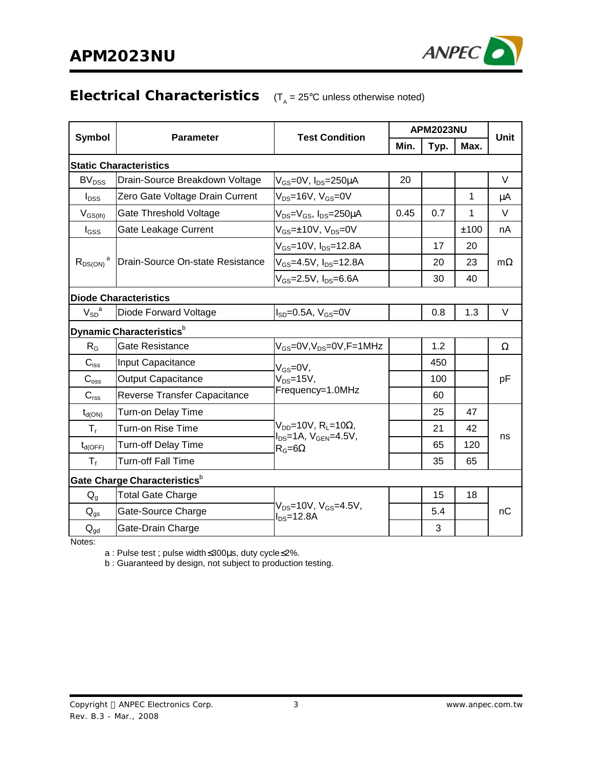

#### **Electrical Characteristics** (T<sub>A</sub> = 25°C unless otherwise noted)

| Symbol                  | <b>Parameter</b>                         | <b>Test Condition</b>                                                          | <b>APM2023NU</b> |      |      | <b>Unit</b> |
|-------------------------|------------------------------------------|--------------------------------------------------------------------------------|------------------|------|------|-------------|
|                         |                                          |                                                                                | Min.             | Typ. | Max. |             |
|                         | <b>Static Characteristics</b>            |                                                                                |                  |      |      |             |
| BV <sub>DSS</sub>       | Drain-Source Breakdown Voltage           | $V_{GS}$ =0V, $I_{DS}$ =250 $\mu$ A                                            | 20               |      |      | $\vee$      |
| $I_{DSS}$               | Zero Gate Voltage Drain Current          | $V_{DS}$ =16V, $V_{GS}$ =0V                                                    |                  |      | 1    | μA          |
| $V_{GS(th)}$            | Gate Threshold Voltage                   | V <sub>DS</sub> =V <sub>GS</sub> , I <sub>DS</sub> =250µA                      | 0.45             | 0.7  | 1    | $\vee$      |
| l <sub>GSS</sub>        | Gate Leakage Current                     | $V_{GS}$ = $\pm$ 10V, $V_{DS}$ =0V                                             |                  |      | ±100 | nA          |
|                         |                                          | $V_{GS}$ =10V, $I_{DS}$ =12.8A                                                 |                  | 17   | 20   |             |
| $R_{DS(ON)}^{\qquad a}$ | Drain-Source On-state Resistance         | V <sub>GS</sub> =4.5V, I <sub>DS</sub> =12.8A                                  |                  | 20   | 23   | $m\Omega$   |
|                         |                                          | $V_{GS} = 2.5V$ , $I_{DS} = 6.6A$                                              |                  | 30   | 40   |             |
|                         | <b>Diode Characteristics</b>             |                                                                                |                  |      |      |             |
| $V_{SD}^{\quad a}$      | Diode Forward Voltage                    | $I_{SD} = 0.5A$ , $V_{GS} = 0V$                                                |                  | 0.8  | 1.3  | V           |
|                         | Dynamic Characteristics <sup>b</sup>     |                                                                                |                  |      |      |             |
| R <sub>G</sub>          | <b>Gate Resistance</b>                   | $V_{GS}$ =0V, $V_{DS}$ =0V, F=1MHz                                             |                  | 1.2  |      | $\Omega$    |
| $C_{iss}$               | Input Capacitance                        | $V_{GS} = 0V$ ,                                                                |                  | 450  |      |             |
| $C_{\text{oss}}$        | <b>Output Capacitance</b>                | $V_{DS} = 15V$ ,                                                               |                  | 100  |      | рF          |
| $C_{\text{rss}}$        | Reverse Transfer Capacitance             | Frequency=1.0MHz                                                               |                  | 60   |      |             |
| $t_{d(ON)}$             | Turn-on Delay Time                       |                                                                                |                  | 25   | 47   |             |
| $T_{\rm r}$             | Turn-on Rise Time                        | $V_{DD}$ =10V, R <sub>L</sub> =10 $\Omega$ ,<br>$I_{DS}$ =1A, $V_{GEN}$ =4.5V, |                  | 21   | 42   |             |
| $t_{d(OFF)}$            | <b>Turn-off Delay Time</b>               | $R_G = 6\Omega$                                                                |                  | 65   | 120  | ns          |
| $T_f$                   | Turn-off Fall Time                       |                                                                                |                  | 35   | 65   |             |
|                         | Gate Charge Characteristics <sup>b</sup> |                                                                                |                  |      |      |             |
| $Q_{\alpha}$            | <b>Total Gate Charge</b>                 |                                                                                |                  | 15   | 18   |             |
| $Q_{gs}$                | Gate-Source Charge                       | $V_{DS}$ =10V, $V_{GS}$ =4.5V,<br>$I_{DS} = 12.8A$                             |                  | 5.4  |      | nC          |
| $Q_{gd}$                | Gate-Drain Charge                        |                                                                                |                  | 3    |      |             |

Notes:

a : Pulse test ; pulse width≤300μs, duty cycle≤2%.

b : Guaranteed by design, not subject to production testing.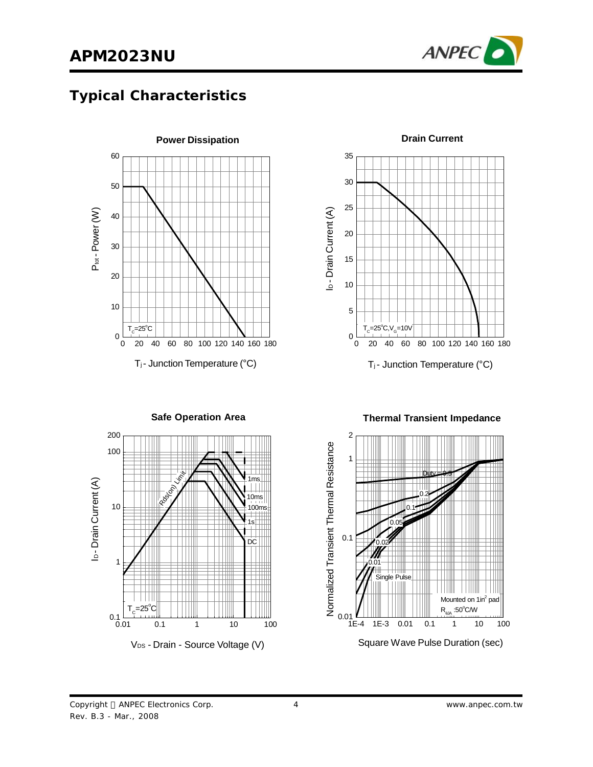

# **Typical Characteristics**





**Drain Current**



**Thermal Transient Impedance**



Copyright © ANPEC Electronics Corp. Rev. B.3 - Mar., 2008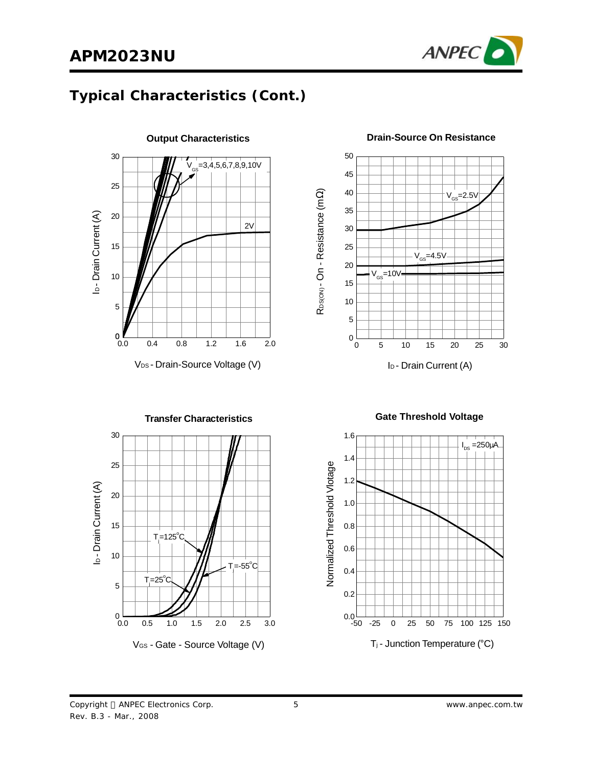

# **Typical Characteristics (Cont.)**



R<sub>DS(ON)</sub> - On - R esistance (m 0 5 10 15 20 25 30  $0\frac{L}{0}$ 5 10 15 20 25 30 35 40 45  $V_{\text{GS}}$ =10V  $V_{\text{GS}}$ =4.5 $V$  $V_{\text{ce}}$ =2.5V

Ω)

50

**Drain-Source On Resistance**



**Transfer Characteristics** 30 25 b-Drain Current (A) ID - Drain Current (A) 20 15  $T = 125^{\circ}$ C 10  $T = -55^{\circ}$ C  $T = 25^\circ \text{C}$ 5  $0.0$ 0.0 0.5 1.0 1.5 2.0 2.5 3.0 V<sub>GS</sub> - Gate - Source Voltage (V)

**Gate Threshold Voltage**

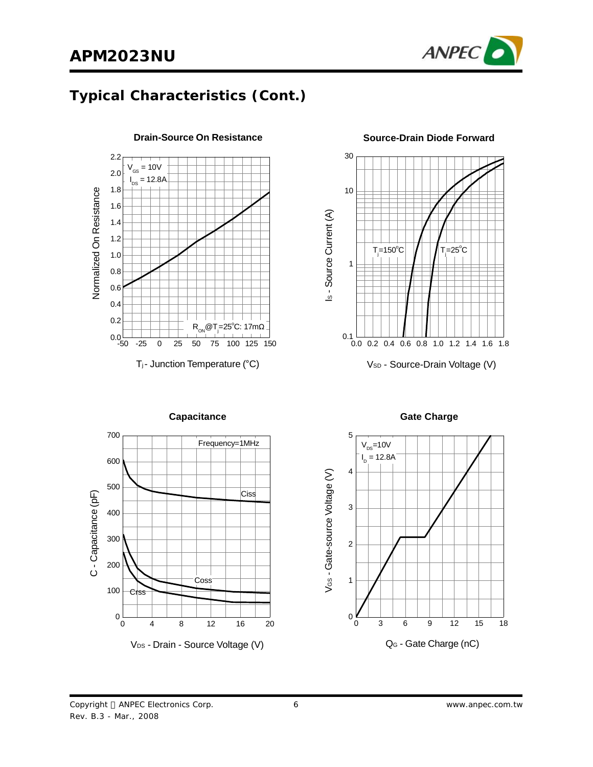

# **Typical Characteristics (Cont.)**



**Drain-Source On Resistance**





**Capacitance Gate Charge** 

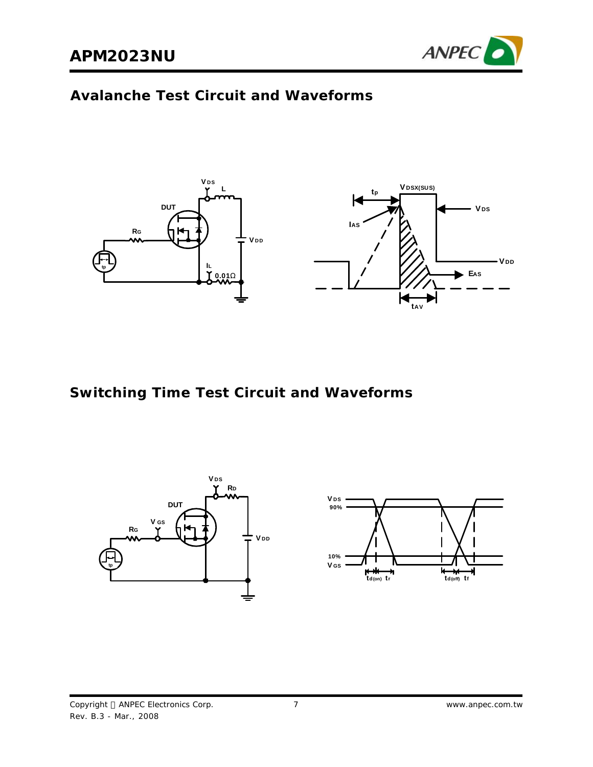

# **Avalanche Test Circuit and Waveforms**



**Switching Time Test Circuit and Waveforms**

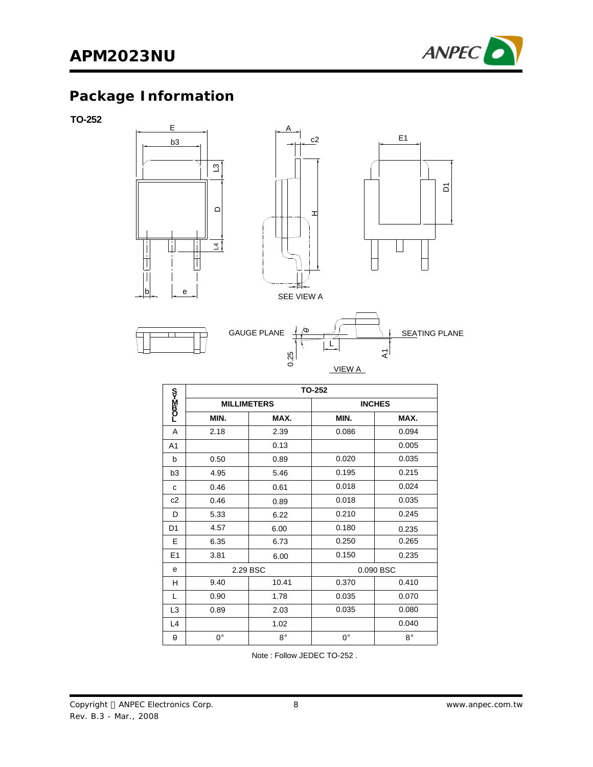

# **Package Information**

**TO-252**



|                |                    |             | <b>TO-252</b> |               |
|----------------|--------------------|-------------|---------------|---------------|
| <b>LOm⊠≺∾</b>  | <b>MILLIMETERS</b> |             |               | <b>INCHES</b> |
|                | MIN.               | MAX.        | MIN.          | MAX.          |
| A              | 2.18               | 2.39        | 0.086         | 0.094         |
| A <sub>1</sub> |                    | 0.13        |               | 0.005         |
| b              | 0.50               | 0.89        | 0.020         | 0.035         |
| b <sub>3</sub> | 4.95               | 5.46        | 0.195         | 0.215         |
| C              | 0.46               | 0.61        | 0.018         | 0.024         |
| c2             | 0.46               | 0.89        | 0.018         | 0.035         |
| D              | 5.33               | 6.22        | 0.210         | 0.245         |
| D <sub>1</sub> | 4.57               | 6.00        | 0.180         | 0.235         |
| E              | 6.35               | 6.73        | 0.250         | 0.265         |
| E1             | 3.81               | 6.00        | 0.150         | 0.235         |
| e              | 2.29 BSC           |             |               | 0.090 BSC     |
| н              | 9.40               | 10.41       | 0.370         | 0.410         |
| L              | 0.90               | 1.78        | 0.035         | 0.070         |
| L <sub>3</sub> | 0.89               | 2.03        | 0.035         | 0.080         |
| L4             |                    | 1.02        |               | 0.040         |
| θ              | $0^{\circ}$        | $8^{\circ}$ | $0^{\circ}$   | $8^{\circ}$   |

Note : Follow JEDEC TO-252 .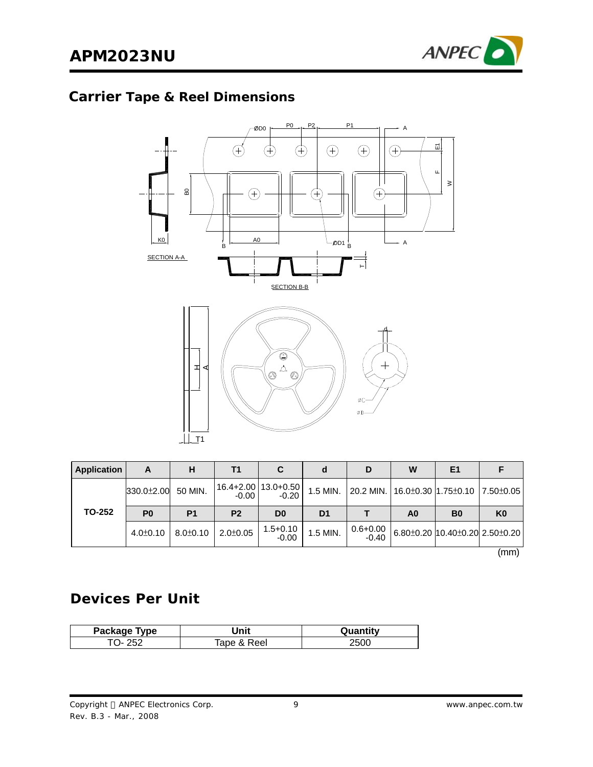

# **Carrier Tape & Reel Dimensions**



| <b>Application</b> | A              | н              | Т1             |                                    |                | D                       | W  | E <sub>1</sub>                          |                |
|--------------------|----------------|----------------|----------------|------------------------------------|----------------|-------------------------|----|-----------------------------------------|----------------|
|                    | 330.0±2.00     | 50 MIN.        | -0.00          | 16.4+2.00   13.0+0.50  <br>$-0.20$ | 1.5 MIN.       |                         |    | 20.2 MIN. 16.0±0.30 1.75±0.10 7.50±0.05 |                |
| <b>TO-252</b>      | P <sub>0</sub> | P <sub>1</sub> | P <sub>2</sub> | D <sub>0</sub>                     | D <sub>1</sub> |                         | A0 | B <sub>0</sub>                          | K <sub>0</sub> |
|                    | $4.0 \pm 0.10$ | $8.0 \pm 0.10$ | $2.0 \pm 0.05$ | $1.5 + 0.10$<br>$-0.00$            | 1.5 MIN.       | $0.6 + 0.00$<br>$-0.40$ |    | 6.80±0.20 10.40±0.20 2.50±0.20          |                |

(mm)

# **Devices Per Unit**

| Package <b>i</b><br>™vpe | Jnit                 | ы<br>w |
|--------------------------|----------------------|--------|
| <b>D</b>                 | Reel<br>≙י<br>$\sim$ | .50C   |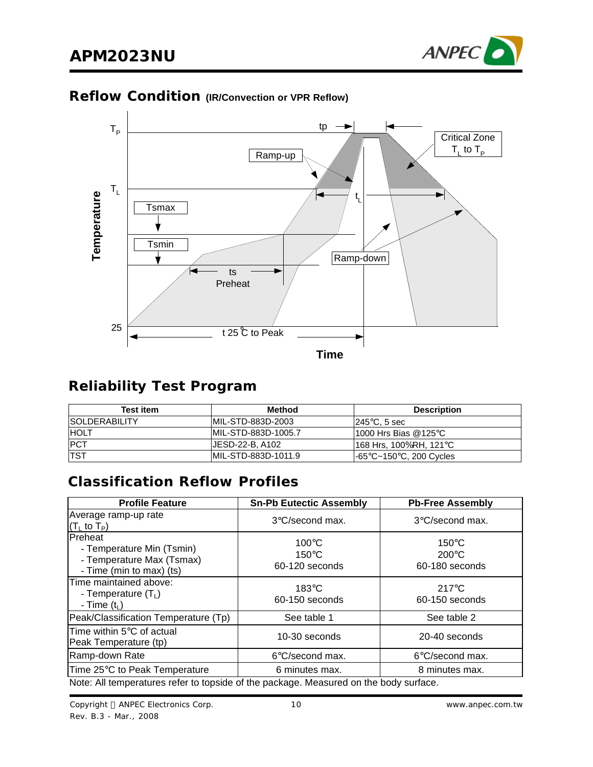

#### **Reflow Condition (IR/Convection or VPR Reflow)**



# **Reliability Test Program**

| <b>Test item</b>      | Method               | <b>Description</b>              |
|-----------------------|----------------------|---------------------------------|
| <b>ISOLDERABILITY</b> | IMIL-STD-883D-2003   | $1245^{\circ}$ C. 5 sec         |
| <b>IHOLT</b>          | IMIL-STD-883D-1005.7 | 11000 Hrs Bias @125 $\degree$ C |
| <b>PCT</b>            | UESD-22-B. A102      | 168 Hrs, 100%RH, 121℃           |
| <b>TST</b>            | IMIL-STD-883D-1011.9 | l-65°C~150°C, 200 Cycles        |

# **Classification Reflow Profiles**

| <b>Profile Feature</b>                                                                        | <b>Sn-Pb Eutectic Assembly</b>                       | <b>Pb-Free Assembly</b>                              |  |  |
|-----------------------------------------------------------------------------------------------|------------------------------------------------------|------------------------------------------------------|--|--|
| Average ramp-up rate<br>$(TL$ to $TP)$                                                        | 3°C/second max.                                      | 3°C/second max.                                      |  |  |
| Preheat<br>- Temperature Min (Tsmin)<br>- Temperature Max (Tsmax)<br>- Time (min to max) (ts) | $100^{\circ}$ C<br>$150^{\circ}$ C<br>60-120 seconds | $150^{\circ}$ C<br>$200^{\circ}$ C<br>60-180 seconds |  |  |
| Time maintained above:<br>- Temperature $(T_L)$<br>- Time $(t_L)$                             | $183^\circ C$<br>60-150 seconds                      | $217^{\circ}$ C<br>60-150 seconds                    |  |  |
| Peak/Classification Temperature (Tp)                                                          | See table 1                                          | See table 2                                          |  |  |
| Time within $5^{\circ}$ C of actual<br>Peak Temperature (tp)                                  | 10-30 seconds                                        | 20-40 seconds                                        |  |  |
| Ramp-down Rate                                                                                | 6°C/second max.                                      | $6^{\circ}$ C/second max.                            |  |  |
| Time 25°C to Peak Temperature                                                                 | 6 minutes max.                                       | 8 minutes max.                                       |  |  |
| Note: All temperatures refer to topside of the package. Measured on the body surface.         |                                                      |                                                      |  |  |